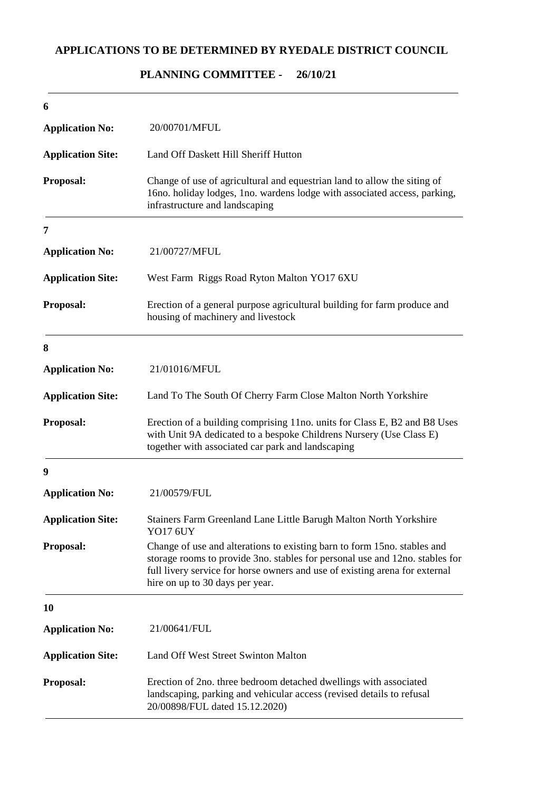## **APPLICATIONS TO BE DETERMINED BY RYEDALE DISTRICT COUNCIL**

## **26/10/21 PLANNING COMMITTEE -**

| 6                        |                                                                                                                                                                                                                                                                            |
|--------------------------|----------------------------------------------------------------------------------------------------------------------------------------------------------------------------------------------------------------------------------------------------------------------------|
| <b>Application No:</b>   | 20/00701/MFUL                                                                                                                                                                                                                                                              |
| <b>Application Site:</b> | Land Off Daskett Hill Sheriff Hutton                                                                                                                                                                                                                                       |
| Proposal:                | Change of use of agricultural and equestrian land to allow the siting of<br>16no. holiday lodges, 1no. wardens lodge with associated access, parking,<br>infrastructure and landscaping                                                                                    |
| 7                        |                                                                                                                                                                                                                                                                            |
| <b>Application No:</b>   | 21/00727/MFUL                                                                                                                                                                                                                                                              |
| <b>Application Site:</b> | West Farm Riggs Road Ryton Malton YO17 6XU                                                                                                                                                                                                                                 |
| Proposal:                | Erection of a general purpose agricultural building for farm produce and<br>housing of machinery and livestock                                                                                                                                                             |
| 8                        |                                                                                                                                                                                                                                                                            |
| <b>Application No:</b>   | 21/01016/MFUL                                                                                                                                                                                                                                                              |
| <b>Application Site:</b> | Land To The South Of Cherry Farm Close Malton North Yorkshire                                                                                                                                                                                                              |
| Proposal:                | Erection of a building comprising 11no. units for Class E, B2 and B8 Uses<br>with Unit 9A dedicated to a bespoke Childrens Nursery (Use Class E)<br>together with associated car park and landscaping                                                                      |
| 9                        |                                                                                                                                                                                                                                                                            |
| <b>Application No:</b>   | 21/00579/FUL                                                                                                                                                                                                                                                               |
| <b>Application Site:</b> | Stainers Farm Greenland Lane Little Barugh Malton North Yorkshire<br>YO17 6UY                                                                                                                                                                                              |
| Proposal:                | Change of use and alterations to existing barn to form 15no. stables and<br>storage rooms to provide 3no. stables for personal use and 12no. stables for<br>full livery service for horse owners and use of existing arena for external<br>hire on up to 30 days per year. |
| 10                       |                                                                                                                                                                                                                                                                            |
| <b>Application No:</b>   | 21/00641/FUL                                                                                                                                                                                                                                                               |
| <b>Application Site:</b> | Land Off West Street Swinton Malton                                                                                                                                                                                                                                        |
| Proposal:                | Erection of 2no. three bedroom detached dwellings with associated<br>landscaping, parking and vehicular access (revised details to refusal<br>20/00898/FUL dated 15.12.2020)                                                                                               |